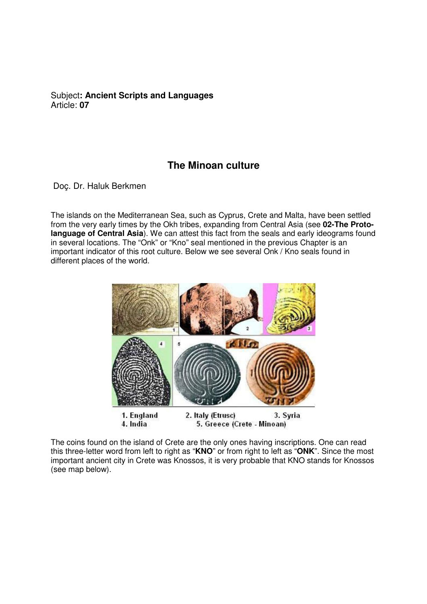Subject**: Ancient Scripts and Languages**  Article: **07**

## **The Minoan culture**

Doç. Dr. Haluk Berkmen

The islands on the Mediterranean Sea, such as Cyprus, Crete and Malta, have been settled from the very early times by the Okh tribes, expanding from Central Asia (see **02-The Protolanguage of Central Asia**). We can attest this fact from the seals and early ideograms found in several locations. The "Onk" or "Kno" seal mentioned in the previous Chapter is an important indicator of this root culture. Below we see several Onk / Kno seals found in different places of the world.



The coins found on the island of Crete are the only ones having inscriptions. One can read this three-letter word from left to right as "**KNO**" or from right to left as "**ONK**". Since the most important ancient city in Crete was Knossos, it is very probable that KNO stands for Knossos (see map below).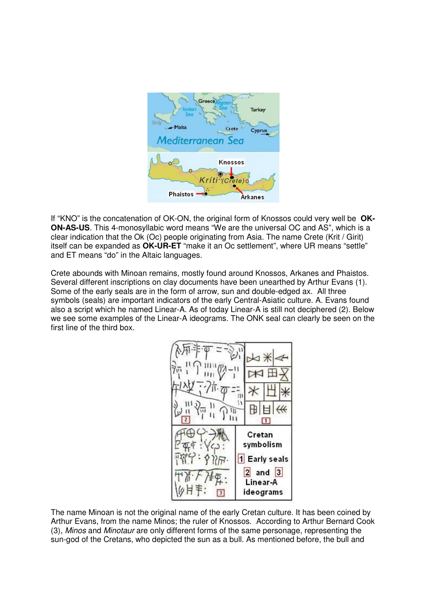

If "KNO" is the concatenation of OK-ON, the original form of Knossos could very well be **OK-ON-AS-US**. This 4-monosyllabic word means "We are the universal OC and AS", which is a clear indication that the Ok (Oc) people originating from Asia. The name Crete (Krit / Girit) itself can be expanded as **OK-UR-ET** "make it an Oc settlement", where UR means "settle" and ET means "do" in the Altaic languages.

Crete abounds with Minoan remains, mostly found around Knossos, Arkanes and Phaistos. Several different inscriptions on clay documents have been unearthed by Arthur Evans (1). Some of the early seals are in the form of arrow, sun and double-edged ax. All three symbols (seals) are important indicators of the early Central-Asiatic culture. A. Evans found also a script which he named Linear-A. As of today Linear-A is still not deciphered (2). Below we see some examples of the Linear-A ideograms. The ONK seal can clearly be seen on the first line of the third box.

$$
\begin{array}{|c|c|c|c|}\n\hline\n\hline\n\text{AB} & \text{B} & \text{B} & \text{B} \\
\hline\n\text{AB} & \text{B} & \text{C} & \text{D} \\
\hline\n\text{AB} & \text{C} & \text{D} & \text{D} \\
\hline\n\text{AB} & \text{C} & \text{D} & \text{D} \\
\hline\n\text{AB} & \text{C} & \text{D} & \text{D} \\
\hline\n\text{AB} & \text{D} & \text{D} & \text{D} \\
\hline\n\text{AB} & \text{D} & \text{D} & \text{D} \\
\hline\n\text{AB} & \text{D} & \text{D} & \text{D} \\
\hline\n\text{AB} & \text{D} & \text{D} & \text{D} \\
\hline\n\text{AB} & \text{D} & \text{D} & \text{D} \\
\hline\n\text{AB} & \text{D} & \text{D} & \text{D} \\
\hline\n\text{AB} & \text{D} & \text{D} & \text{D} \\
\hline\n\text{AB} & \text{D} & \text{D} & \text{D} \\
\hline\n\text{AB} & \text{D} & \text{D} & \text{D} \\
\hline\n\text{AB} & \text{D} & \text{D} & \text{D} \\
\hline\n\text{AB} & \text{D} & \text{D} & \text{D} \\
\hline\n\text{AB} & \text{D} & \text{D} & \text{D} \\
\hline\n\text{AB} & \text{D} & \text{D} & \text{D} \\
\hline\n\text{AB} & \text{D} & \text{D} & \text{D} \\
\hline\n\text{AB} & \text{D} & \text{D} & \text{D} \\
\hline\n\text{AB} & \text{D} & \text{D} & \text{D} \\
\hline\n\text{AB} & \text{D} & \text{D} & \text{D} \\
\hline\n\text{AB} & \text{D} & \text{D} & \text{D} \\
\hline\n\text{AB} & \text{D} & \text{D} & \text{D} \\
\hline\n\text{AB} & \text{D} & \text{D} & \text{D} \\
\hline\n\text{AB} & \text{D} & \text{D} & \text{D} \\
\hline\n\text{AB} & \text
$$

The name Minoan is not the original name of the early Cretan culture. It has been coined by Arthur Evans, from the name Minos; the ruler of Knossos. According to Arthur Bernard Cook (3), Minos and Minotaur are only different forms of the same personage, representing the sun-god of the Cretans, who depicted the sun as a bull. As mentioned before, the bull and